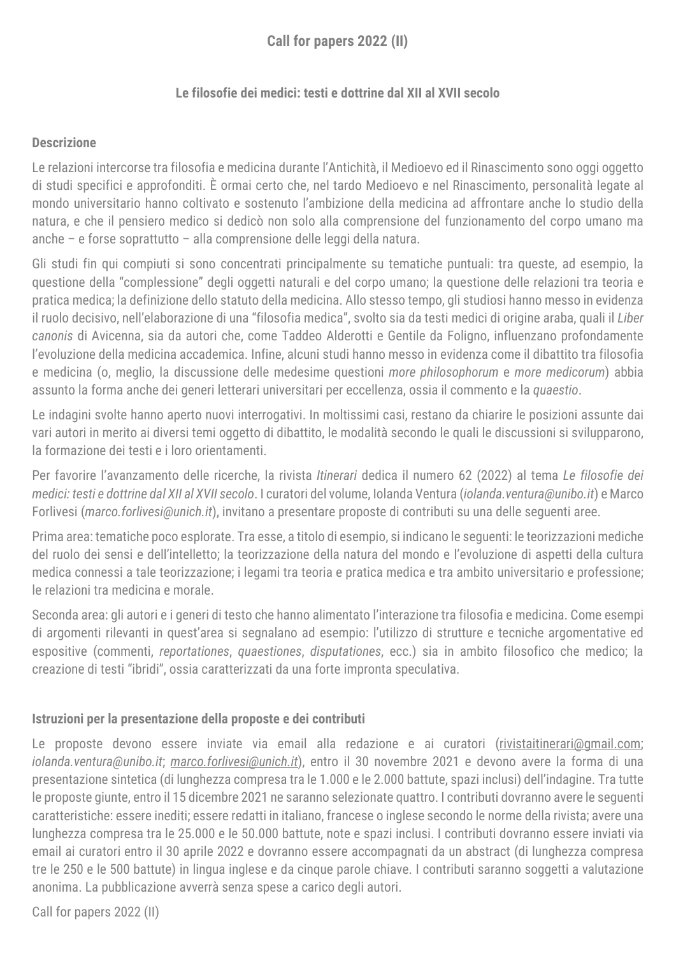# **Call for papers 2022 (II)**

### **Le filosofie dei medici: testi e dottrine dal XII al XVII secolo**

### **Descrizione**

Le relazioni intercorse tra filosofia e medicina durante l'Antichità, il Medioevo ed il Rinascimento sono oggi oggetto di studi specifici e approfonditi. È ormai certo che, nel tardo Medioevo e nel Rinascimento, personalità legate al mondo universitario hanno coltivato e sostenuto l'ambizione della medicina ad affrontare anche lo studio della natura, e che il pensiero medico si dedicò non solo alla comprensione del funzionamento del corpo umano ma anche – e forse soprattutto – alla comprensione delle leggi della natura.

Gli studi fin qui compiuti si sono concentrati principalmente su tematiche puntuali: tra queste, ad esempio, la questione della "complessione" degli oggetti naturali e del corpo umano; la questione delle relazioni tra teoria e pratica medica; la definizione dello statuto della medicina. Allo stesso tempo, gli studiosi hanno messo in evidenza il ruolo decisivo, nell'elaborazione di una "filosofia medica", svolto sia da testi medici di origine araba, quali il *Liber canonis* di Avicenna, sia da autori che, come Taddeo Alderotti e Gentile da Foligno, influenzano profondamente l'evoluzione della medicina accademica. Infine, alcuni studi hanno messo in evidenza come il dibattito tra filosofia e medicina (o, meglio, la discussione delle medesime questioni *more philosophorum* e *more medicorum*) abbia assunto la forma anche dei generi letterari universitari per eccellenza, ossia il commento e la *quaestio*.

Le indagini svolte hanno aperto nuovi interrogativi. In moltissimi casi, restano da chiarire le posizioni assunte dai vari autori in merito ai diversi temi oggetto di dibattito, le modalità secondo le quali le discussioni si svilupparono, la formazione dei testi e i loro orientamenti.

Per favorire l'avanzamento delle ricerche, la rivista *Itinerari* dedica il numero 62 (2022) al tema *Le filosofie dei medici: testi e dottrine dal XII al XVII secolo*. I curatori del volume, Iolanda Ventura (*iolanda.ventura@unibo.it*) e Marco Forlivesi (*marco.forlivesi@unich.it*), invitano a presentare proposte di contributi su una delle seguenti aree.

Prima area: tematiche poco esplorate. Tra esse, a titolo di esempio, si indicano le seguenti: le teorizzazioni mediche del ruolo dei sensi e dell'intelletto; la teorizzazione della natura del mondo e l'evoluzione di aspetti della cultura medica connessi a tale teorizzazione; i legami tra teoria e pratica medica e tra ambito universitario e professione; le relazioni tra medicina e morale.

Seconda area: gli autori e i generi di testo che hanno alimentato l'interazione tra filosofia e medicina. Come esempi di argomenti rilevanti in quest'area si segnalano ad esempio: l'utilizzo di strutture e tecniche argomentative ed espositive (commenti, *reportationes*, *quaestiones*, *disputationes*, ecc.) sia in ambito filosofico che medico; la creazione di testi "ibridi", ossia caratterizzati da una forte impronta speculativa.

#### **Istruzioni per la presentazione della proposte e dei contributi**

Le proposte devono essere inviate via email alla redazione e ai curatori (rivistaitinerari@gmail.com; *iolanda.ventura@unibo.it*; *[marco.forlivesi@unich.it](mailto:marco.forlivesi@unich.it)*), entro il 30 novembre 2021 e devono avere la forma di una presentazione sintetica (di lunghezza compresa tra le 1.000 e le 2.000 battute, spazi inclusi) dell'indagine. Tra tutte le proposte giunte, entro il 15 dicembre 2021 ne saranno selezionate quattro. I contributi dovranno avere le seguenti caratteristiche: essere inediti; essere redatti in italiano, francese o inglese secondo le norme della rivista; avere una lunghezza compresa tra le 25.000 e le 50.000 battute, note e spazi inclusi. I contributi dovranno essere inviati via email ai curatori entro il 30 aprile 2022 e dovranno essere accompagnati da un abstract (di lunghezza compresa tre le 250 e le 500 battute) in lingua inglese e da cinque parole chiave. I contributi saranno soggetti a valutazione anonima. La pubblicazione avverrà senza spese a carico degli autori.

Call for papers 2022 (II)